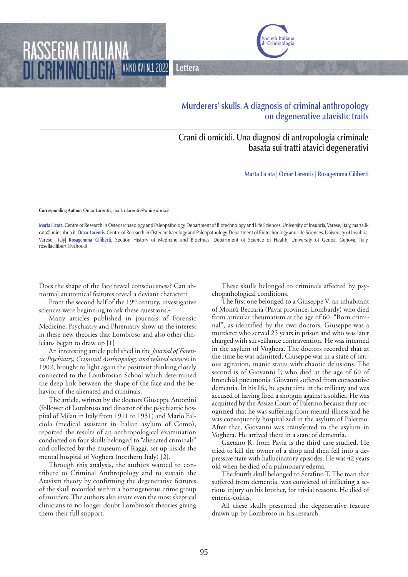ANNO XVI N.12022 **Lettera**



## **Murderers' skulls. A diagnosis of criminal anthropology on degenerative atavistic traits**

## **Crani di omicidi. Una diagnosi di antropologia criminale basata sui tratti atavici degenerativi**

**Marta Licata | Omar Larentis | Rosagemma Ciliberti**

**Corresponding Author**: Omar Larentis, mail: olarentis@uninsubria.it

RASSEGNA

**Marta Licata**, Centre of Research in Osteoarchaeology and Paleopathology, Department of Biotechnology and Life Sciences, University of Insubria, Varese, Italy, marta.licata@uninsubria.it| **Omar Larentis**, Centre of Research in Osteoarchaeology and Paleopathology, Department of Biotechnology and Life Sciences, University of Insubria, Varese, Italy| **Rosagemma Ciliberti**, Section History of Medicine and Bioethics, Department of Science of Health, University of Genoa, Genova, Italy, rosellaciliberti@yahoo.it

Does the shape of the face reveal consciousness? Can abnormal anatomical features reveal a deviant character?

From the second half of the  $19<sup>th</sup>$  century, investigative sciences were beginning to ask these questions.

Many articles published in journals of Forensic Medicine, Psychiatry and Phreniatry show us the interest in these new theories that Lombroso and also other clinicians began to draw up [1]

An interesting article published in the *Journal of Forensic Psychiatry, Criminal Anthropology and related sciences* in 1902, brought to light again the positivist thinking closely connected to the Lombrosian School which determined the deep link between the shape of the face and the behavior of the alienated and criminals.

The article, written by the doctors Giuseppe Antonini (follower of Lombroso and director of the psychiatric hospital of Milan in Italy from 1911 to 1931) and Mario Falciola (medical assistant in Italian asylum of Como), reported the results of an anthropological examination conducted on four skulls belonged to "alienated criminals" and collected by the museum of Raggi, set up inside the mental hospital of Voghera (northern Italy) [2].

Through this analysis, the authors wanted to contribute to Criminal Anthropology and to sustain the Atavism theory by confirming the degenerative features of the skull recorded within a homogeneous crime group of murders. The authors also invite even the most skeptical clinicians to no longer doubt Lombroso's theories giving them their full support.

These skulls belonged to criminals affected by psychopathological conditions.

The first one belonged to a Giuseppe V, an inhabitant of Montù Beccaria (Pavia province, Lombardy) who died from articular rheumatism at the age of 60. "Born criminal", as identified by the two doctors, Giuseppe was a murderer who served 25 years in prison and who was later charged with surveillance contravention. He was interned in the asylum of Voghera. The doctors recorded that at the time he was admitted, Giuseppe was in a state of serious agitation, manic states with chaotic delusions. The second is of Giovanni P, who died at the age of 60 of bronchial pneumonia. Giovanni suffered from consecutive dementia. In his life, he spent time in the military and was accused of having fired a shotgun against a soldier. He was acquitted by the Assize Court of Palermo because they recognized that he was suffering from mental illness and he was consequently hospitalized in the asylum of Palermo. After that, Giovanni was transferred to the asylum in Voghera. He arrived there in a state of dementia.

Gaetano R. from Pavia is the third case studied. He tried to kill the owner of a shop and then fell into a depressive state with hallucinatory episodes. He was 42 years old when he died of a pulmonary edema.

The fourth skull belonged to Serafino T. The man that suffered from dementia, was convicted of inflicting a serious injury on his brother, for trivial reasons. He died of enteric-colitis.

All these skulls presented the degenerative feature drawn up by Lombroso in his research.